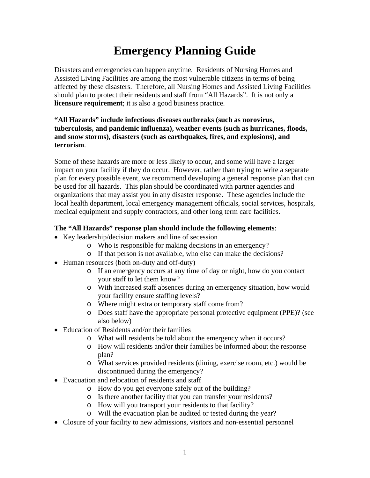# **Emergency Planning Guide**

Disasters and emergencies can happen anytime. Residents of Nursing Homes and Assisted Living Facilities are among the most vulnerable citizens in terms of being affected by these disasters. Therefore, all Nursing Homes and Assisted Living Facilities should plan to protect their residents and staff from "All Hazards". It is not only a **licensure requirement**; it is also a good business practice.

#### **"All Hazards" include infectious diseases outbreaks (such as norovirus, tuberculosis, and pandemic influenza), weather events (such as hurricanes, floods, and snow storms), disasters (such as earthquakes, fires, and explosions), and terrorism**.

Some of these hazards are more or less likely to occur, and some will have a larger impact on your facility if they do occur. However, rather than trying to write a separate plan for every possible event, we recommend developing a general response plan that can be used for all hazards. This plan should be coordinated with partner agencies and organizations that may assist you in any disaster response. These agencies include the local health department, local emergency management officials, social services, hospitals, medical equipment and supply contractors, and other long term care facilities.

### **The "All Hazards" response plan should include the following elements**:

- Key leadership/decision makers and line of secession
	- o Who is responsible for making decisions in an emergency?
	- o If that person is not available, who else can make the decisions?
- Human resources (both on-duty and off-duty)
	- o If an emergency occurs at any time of day or night, how do you contact your staff to let them know?
	- o With increased staff absences during an emergency situation, how would your facility ensure staffing levels?
	- o Where might extra or temporary staff come from?
	- o Does staff have the appropriate personal protective equipment (PPE)? (see also below)
- Education of Residents and/or their families
	- o What will residents be told about the emergency when it occurs?
	- o How will residents and/or their families be informed about the response plan?
	- o What services provided residents (dining, exercise room, etc.) would be discontinued during the emergency?
- Evacuation and relocation of residents and staff
	- o How do you get everyone safely out of the building?
	- o Is there another facility that you can transfer your residents?
	- o How will you transport your residents to that facility?
	- o Will the evacuation plan be audited or tested during the year?
- Closure of your facility to new admissions, visitors and non-essential personnel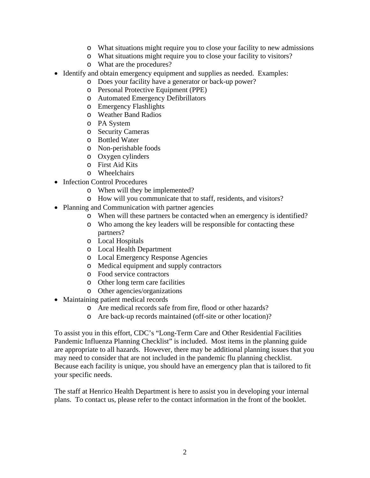- o What situations might require you to close your facility to new admissions
- o What situations might require you to close your facility to visitors?
- o What are the procedures?
- Identify and obtain emergency equipment and supplies as needed. Examples:
	- o Does your facility have a generator or back-up power?
	- o Personal Protective Equipment (PPE)
	- o Automated Emergency Defibrillators
	- o Emergency Flashlights
	- o Weather Band Radios
	- o PA System
	- o Security Cameras
	- o Bottled Water
	- o Non-perishable foods
	- o Oxygen cylinders
	- o First Aid Kits
	- o Wheelchairs
- Infection Control Procedures
	- o When will they be implemented?
	- o How will you communicate that to staff, residents, and visitors?
- Planning and Communication with partner agencies
	- o When will these partners be contacted when an emergency is identified?
	- o Who among the key leaders will be responsible for contacting these partners?
	- o Local Hospitals
	- o Local Health Department
	- o Local Emergency Response Agencies
	- o Medical equipment and supply contractors
	- o Food service contractors
	- o Other long term care facilities
	- o Other agencies/organizations
- Maintaining patient medical records
	- o Are medical records safe from fire, flood or other hazards?
	- o Are back-up records maintained (off-site or other location)?

To assist you in this effort, CDC's "Long-Term Care and Other Residential Facilities Pandemic Influenza Planning Checklist" is included. Most items in the planning guide are appropriate to all hazards. However, there may be additional planning issues that you may need to consider that are not included in the pandemic flu planning checklist. Because each facility is unique, you should have an emergency plan that is tailored to fit your specific needs.

The staff at Henrico Health Department is here to assist you in developing your internal plans. To contact us, please refer to the contact information in the front of the booklet.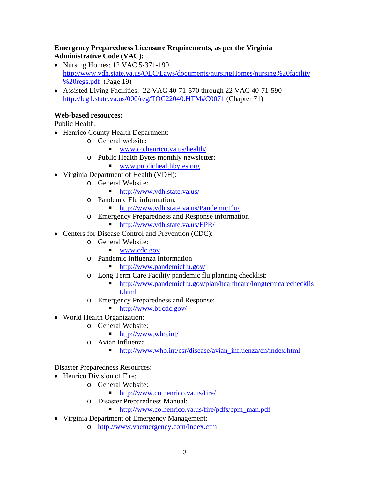### **Emergency Preparedness Licensure Requirements, as per the Virginia Administrative Code (VAC):**

- Nursing Homes: 12 VAC 5-371-190 http://www.vdh.state.va.us/OLC/Laws/documents/nursingHomes/nursing%20facility %20regs.pdf (Page 19)
- Assisted Living Facilities: 22 VAC 40-71-570 through 22 VAC 40-71-590 http://leg1.state.va.us/000/reg/TOC22040.HTM#C0071 (Chapter 71)

## **Web-based resources:**

Public Health:

- Henrico County Health Department:
	- o General website:
		- www.co.henrico.va.us/health/
	- o Public Health Bytes monthly newsletter:
		- www.publichealthbytes.org
- Virginia Department of Health (VDH):
	- o General Website:
		- http://www.vdh.state.va.us/
	- o Pandemic Flu information:
		- http://www.vdh.state.va.us/PandemicFlu/
	- o Emergency Preparedness and Response information
		- http://www.vdh.state.va.us/EPR/
- Centers for Disease Control and Prevention (CDC):
	- o General Website:
		- www.cdc.gov
	- o Pandemic Influenza Information
		- http://www.pandemicflu.gov/
	- o Long Term Care Facility pandemic flu planning checklist:
		- http://www.pandemicflu.gov/plan/healthcare/longtermcarechecklis t.html
	- o Emergency Preparedness and Response:
		- http://www.bt.cdc.gov/
- World Health Organization:
	- o General Website:
		- http://www.who.int/
		- o Avian Influenza
			- **http://www.who.int/csr/disease/avian\_influenza/en/index.html**

Disaster Preparedness Resources:

- Henrico Division of Fire:
	- o General Website:
		- http://www.co.henrico.va.us/fire/
	- o Disaster Preparedness Manual:
		- http://www.co.henrico.va.us/fire/pdfs/cpm\_man.pdf
- Virginia Department of Emergency Management:
	- o http://www.vaemergency.com/index.cfm